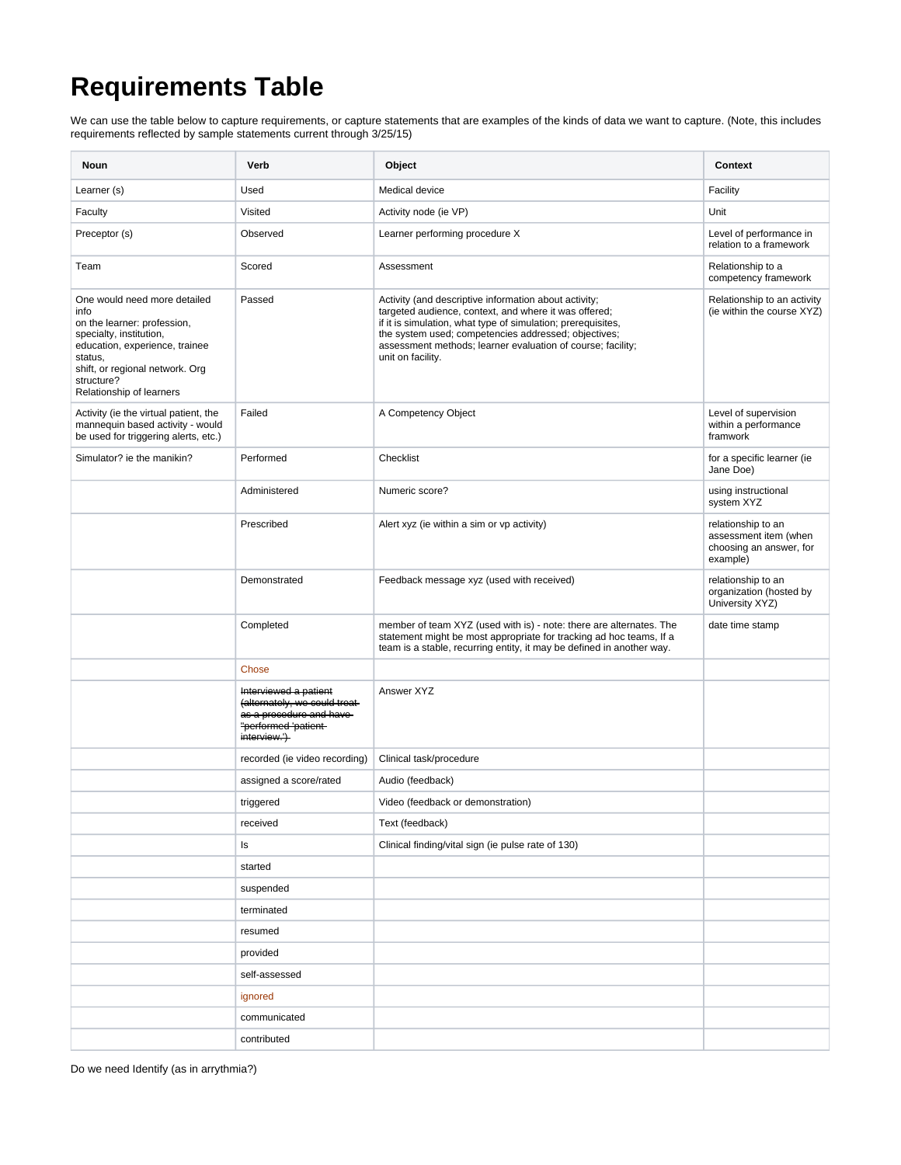## **Requirements Table**

We can use the table below to capture requirements, or capture statements that are examples of the kinds of data we want to capture. (Note, this includes requirements reflected by sample statements current through 3/25/15)

| Noun                                                                                                                                                                                                                     | Verb                                                                                                                                 | Object                                                                                                                                                                                                                                                                                                                     | <b>Context</b>                                                                     |
|--------------------------------------------------------------------------------------------------------------------------------------------------------------------------------------------------------------------------|--------------------------------------------------------------------------------------------------------------------------------------|----------------------------------------------------------------------------------------------------------------------------------------------------------------------------------------------------------------------------------------------------------------------------------------------------------------------------|------------------------------------------------------------------------------------|
| Learner (s)                                                                                                                                                                                                              | Used                                                                                                                                 | Medical device                                                                                                                                                                                                                                                                                                             | Facility                                                                           |
| Faculty                                                                                                                                                                                                                  | Visited                                                                                                                              | Activity node (ie VP)                                                                                                                                                                                                                                                                                                      | Unit                                                                               |
| Preceptor (s)                                                                                                                                                                                                            | Observed                                                                                                                             | Learner performing procedure X                                                                                                                                                                                                                                                                                             | Level of performance in<br>relation to a framework                                 |
| Team                                                                                                                                                                                                                     | Scored                                                                                                                               | Assessment                                                                                                                                                                                                                                                                                                                 | Relationship to a<br>competency framework                                          |
| One would need more detailed<br>info<br>on the learner: profession,<br>specialty, institution,<br>education, experience, trainee<br>status,<br>shift, or regional network. Org<br>structure?<br>Relationship of learners | Passed                                                                                                                               | Activity (and descriptive information about activity;<br>targeted audience, context, and where it was offered;<br>if it is simulation, what type of simulation; prerequisites,<br>the system used; competencies addressed; objectives;<br>assessment methods; learner evaluation of course; facility;<br>unit on facility. | Relationship to an activity<br>(ie within the course XYZ)                          |
| Activity (ie the virtual patient, the<br>mannequin based activity - would<br>be used for triggering alerts, etc.)                                                                                                        | Failed                                                                                                                               | A Competency Object                                                                                                                                                                                                                                                                                                        | Level of supervision<br>within a performance<br>framwork                           |
| Simulator? ie the manikin?                                                                                                                                                                                               | Performed                                                                                                                            | Checklist                                                                                                                                                                                                                                                                                                                  | for a specific learner (ie<br>Jane Doe)                                            |
|                                                                                                                                                                                                                          | Administered                                                                                                                         | Numeric score?                                                                                                                                                                                                                                                                                                             | using instructional<br>system XYZ                                                  |
|                                                                                                                                                                                                                          | Prescribed                                                                                                                           | Alert xyz (ie within a sim or vp activity)                                                                                                                                                                                                                                                                                 | relationship to an<br>assessment item (when<br>choosing an answer, for<br>example) |
|                                                                                                                                                                                                                          | Demonstrated                                                                                                                         | Feedback message xyz (used with received)                                                                                                                                                                                                                                                                                  | relationship to an<br>organization (hosted by<br>University XYZ)                   |
|                                                                                                                                                                                                                          | Completed                                                                                                                            | member of team XYZ (used with is) - note: there are alternates. The<br>statement might be most appropriate for tracking ad hoc teams, If a<br>team is a stable, recurring entity, it may be defined in another way.                                                                                                        | date time stamp                                                                    |
|                                                                                                                                                                                                                          | Chose                                                                                                                                |                                                                                                                                                                                                                                                                                                                            |                                                                                    |
|                                                                                                                                                                                                                          | Interviewed a patient<br>(alternately, we could treat-<br>as a procedure and have<br>"performed 'patient-<br>interview. <sup>1</sup> | Answer XYZ                                                                                                                                                                                                                                                                                                                 |                                                                                    |
|                                                                                                                                                                                                                          | recorded (ie video recording)                                                                                                        | Clinical task/procedure                                                                                                                                                                                                                                                                                                    |                                                                                    |
|                                                                                                                                                                                                                          | assigned a score/rated                                                                                                               | Audio (feedback)                                                                                                                                                                                                                                                                                                           |                                                                                    |
|                                                                                                                                                                                                                          | triggered                                                                                                                            | Video (feedback or demonstration)                                                                                                                                                                                                                                                                                          |                                                                                    |
|                                                                                                                                                                                                                          | received                                                                                                                             | Text (feedback)                                                                                                                                                                                                                                                                                                            |                                                                                    |
|                                                                                                                                                                                                                          | ls                                                                                                                                   | Clinical finding/vital sign (ie pulse rate of 130)                                                                                                                                                                                                                                                                         |                                                                                    |
|                                                                                                                                                                                                                          | started                                                                                                                              |                                                                                                                                                                                                                                                                                                                            |                                                                                    |
|                                                                                                                                                                                                                          | suspended                                                                                                                            |                                                                                                                                                                                                                                                                                                                            |                                                                                    |
|                                                                                                                                                                                                                          | terminated                                                                                                                           |                                                                                                                                                                                                                                                                                                                            |                                                                                    |
|                                                                                                                                                                                                                          | resumed                                                                                                                              |                                                                                                                                                                                                                                                                                                                            |                                                                                    |
|                                                                                                                                                                                                                          | provided                                                                                                                             |                                                                                                                                                                                                                                                                                                                            |                                                                                    |
|                                                                                                                                                                                                                          | self-assessed                                                                                                                        |                                                                                                                                                                                                                                                                                                                            |                                                                                    |
|                                                                                                                                                                                                                          | ignored                                                                                                                              |                                                                                                                                                                                                                                                                                                                            |                                                                                    |
|                                                                                                                                                                                                                          | communicated                                                                                                                         |                                                                                                                                                                                                                                                                                                                            |                                                                                    |
|                                                                                                                                                                                                                          | contributed                                                                                                                          |                                                                                                                                                                                                                                                                                                                            |                                                                                    |

Do we need Identify (as in arrythmia?)